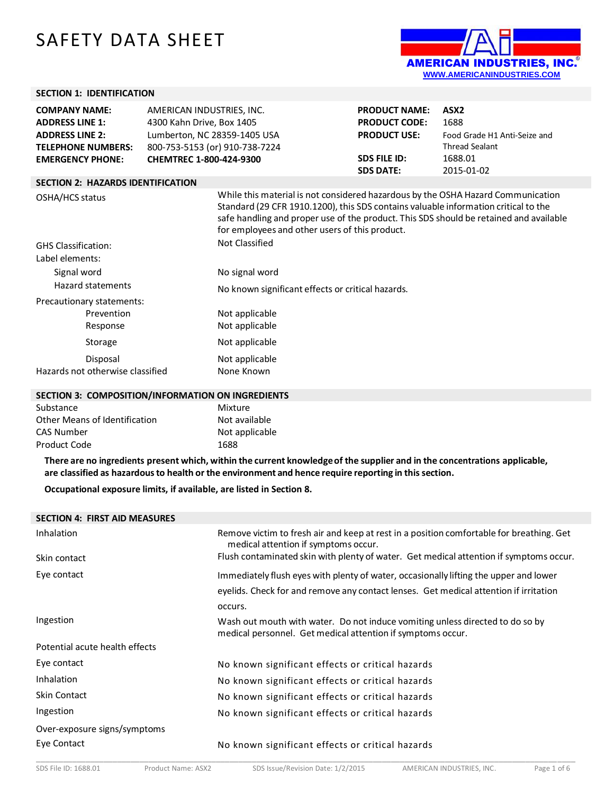# SAFETY DATA SHEET



#### **SECTION 1: IDENTIFICATION**

| <b>COMPANY NAME:</b><br><b>ADDRESS LINE 1:</b><br><b>ADDRESS LINE 2:</b><br><b>TELEPHONE NUMBERS:</b><br><b>EMERGENCY PHONE:</b> | AMERICAN INDUSTRIES, INC.<br>4300 Kahn Drive, Box 1405<br>Lumberton, NC 28359-1405 USA<br>800-753-5153 (or) 910-738-7224<br>CHEMTREC 1-800-424-9300 |                                                                                                                                                                                                                                                                                                                     | <b>PRODUCT NAME:</b><br><b>PRODUCT CODE:</b><br><b>PRODUCT USE:</b><br><b>SDS FILE ID:</b><br><b>SDS DATE:</b> | ASX <sub>2</sub><br>1688<br>Food Grade H1 Anti-Seize and<br><b>Thread Sealant</b><br>1688.01<br>2015-01-02 |
|----------------------------------------------------------------------------------------------------------------------------------|-----------------------------------------------------------------------------------------------------------------------------------------------------|---------------------------------------------------------------------------------------------------------------------------------------------------------------------------------------------------------------------------------------------------------------------------------------------------------------------|----------------------------------------------------------------------------------------------------------------|------------------------------------------------------------------------------------------------------------|
| <b>SECTION 2: HAZARDS IDENTIFICATION</b>                                                                                         |                                                                                                                                                     |                                                                                                                                                                                                                                                                                                                     |                                                                                                                |                                                                                                            |
| OSHA/HCS status                                                                                                                  |                                                                                                                                                     | While this material is not considered hazardous by the OSHA Hazard Communication<br>Standard (29 CFR 1910.1200), this SDS contains valuable information critical to the<br>safe handling and proper use of the product. This SDS should be retained and available<br>for employees and other users of this product. |                                                                                                                |                                                                                                            |
| <b>GHS Classification:</b><br>Label elements:                                                                                    |                                                                                                                                                     | Not Classified                                                                                                                                                                                                                                                                                                      |                                                                                                                |                                                                                                            |
| Signal word                                                                                                                      |                                                                                                                                                     | No signal word                                                                                                                                                                                                                                                                                                      |                                                                                                                |                                                                                                            |
| <b>Hazard statements</b>                                                                                                         |                                                                                                                                                     | No known significant effects or critical hazards.                                                                                                                                                                                                                                                                   |                                                                                                                |                                                                                                            |
| Precautionary statements:                                                                                                        |                                                                                                                                                     |                                                                                                                                                                                                                                                                                                                     |                                                                                                                |                                                                                                            |
| Prevention<br>Response                                                                                                           |                                                                                                                                                     | Not applicable<br>Not applicable                                                                                                                                                                                                                                                                                    |                                                                                                                |                                                                                                            |
| Storage                                                                                                                          |                                                                                                                                                     | Not applicable                                                                                                                                                                                                                                                                                                      |                                                                                                                |                                                                                                            |
| Disposal<br>Hazards not otherwise classified                                                                                     |                                                                                                                                                     | Not applicable<br>None Known                                                                                                                                                                                                                                                                                        |                                                                                                                |                                                                                                            |
| SECTION 3: COMPOSITION/INFORMATION ON INGREDIENTS                                                                                |                                                                                                                                                     |                                                                                                                                                                                                                                                                                                                     |                                                                                                                |                                                                                                            |
| Substance                                                                                                                        |                                                                                                                                                     | Mixture                                                                                                                                                                                                                                                                                                             |                                                                                                                |                                                                                                            |

| Substance                     | Mixture        |
|-------------------------------|----------------|
| Other Means of Identification | Not available  |
| CAS Number                    | Not applicable |

Product Code 1688 There are no ingredients present which, within the current knowledge of the supplier and in the concentrations applicable, **are classified as hazardousto health or the environment and hence require reporting in thissection.**

**Occupational exposure limits, if available, are listed in Section 8.**

| <b>SECTION 4: FIRST AID MEASURES</b> |                                                                                                                                                                                           |
|--------------------------------------|-------------------------------------------------------------------------------------------------------------------------------------------------------------------------------------------|
| Inhalation                           | Remove victim to fresh air and keep at rest in a position comfortable for breathing. Get<br>medical attention if symptoms occur.                                                          |
| Skin contact                         | Flush contaminated skin with plenty of water. Get medical attention if symptoms occur.                                                                                                    |
| Eye contact                          | Immediately flush eyes with plenty of water, occasionally lifting the upper and lower<br>eyelids. Check for and remove any contact lenses. Get medical attention if irritation<br>occurs. |
| Ingestion                            | Wash out mouth with water. Do not induce vomiting unless directed to do so by<br>medical personnel. Get medical attention if symptoms occur.                                              |
| Potential acute health effects       |                                                                                                                                                                                           |
| Eye contact                          | No known significant effects or critical hazards                                                                                                                                          |
| Inhalation                           | No known significant effects or critical hazards                                                                                                                                          |
| <b>Skin Contact</b>                  | No known significant effects or critical hazards                                                                                                                                          |
| Ingestion                            | No known significant effects or critical hazards                                                                                                                                          |
| Over-exposure signs/symptoms         |                                                                                                                                                                                           |
| Eye Contact                          | No known significant effects or critical hazards                                                                                                                                          |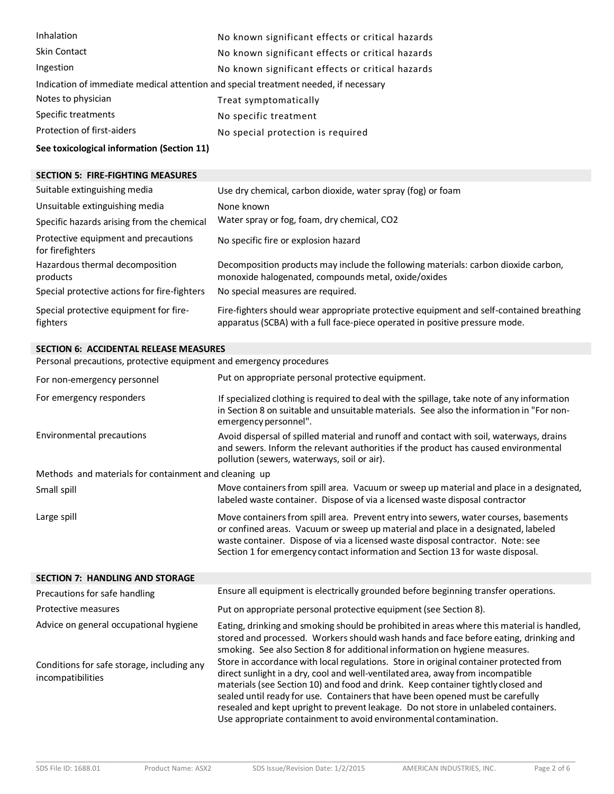| Inhalation                                                                           | No known significant effects or critical hazards |  |
|--------------------------------------------------------------------------------------|--------------------------------------------------|--|
| <b>Skin Contact</b>                                                                  | No known significant effects or critical hazards |  |
| Ingestion                                                                            | No known significant effects or critical hazards |  |
| Indication of immediate medical attention and special treatment needed, if necessary |                                                  |  |
| Notes to physician                                                                   | Treat symptomatically                            |  |
| Specific treatments                                                                  | No specific treatment                            |  |
| Protection of first-aiders                                                           | No special protection is required                |  |
|                                                                                      |                                                  |  |

## **See toxicological information (Section 11)**

## **SECTION 5: FIRE-FIGHTING MEASURES**

| Suitable extinguishing media                             | Use dry chemical, carbon dioxide, water spray (fog) or foam                                                                                                            |
|----------------------------------------------------------|------------------------------------------------------------------------------------------------------------------------------------------------------------------------|
| Unsuitable extinguishing media                           | None known                                                                                                                                                             |
| Specific hazards arising from the chemical               | Water spray or fog, foam, dry chemical, CO2                                                                                                                            |
| Protective equipment and precautions<br>for firefighters | No specific fire or explosion hazard                                                                                                                                   |
| Hazardous thermal decomposition<br>products              | Decomposition products may include the following materials: carbon dioxide carbon,<br>monoxide halogenated, compounds metal, oxide/oxides                              |
| Special protective actions for fire-fighters             | No special measures are required.                                                                                                                                      |
| Special protective equipment for fire-<br>fighters       | Fire-fighters should wear appropriate protective equipment and self-contained breathing<br>apparatus (SCBA) with a full face-piece operated in positive pressure mode. |

## **SECTION 6: ACCIDENTAL RELEASE MEASURES**

Personal precautions, protective equipment and emergency procedures

| For non-emergency personnel                                     | Put on appropriate personal protective equipment.                                                                                                                                                                                                                                                                                                                                                                                                                                                           |
|-----------------------------------------------------------------|-------------------------------------------------------------------------------------------------------------------------------------------------------------------------------------------------------------------------------------------------------------------------------------------------------------------------------------------------------------------------------------------------------------------------------------------------------------------------------------------------------------|
| For emergency responders                                        | If specialized clothing is required to deal with the spillage, take note of any information<br>in Section 8 on suitable and unsuitable materials. See also the information in "For non-<br>emergency personnel".                                                                                                                                                                                                                                                                                            |
| Environmental precautions                                       | Avoid dispersal of spilled material and runoff and contact with soil, waterways, drains<br>and sewers. Inform the relevant authorities if the product has caused environmental<br>pollution (sewers, waterways, soil or air).                                                                                                                                                                                                                                                                               |
| Methods and materials for containment and cleaning up           |                                                                                                                                                                                                                                                                                                                                                                                                                                                                                                             |
| Small spill                                                     | Move containers from spill area. Vacuum or sweep up material and place in a designated,<br>labeled waste container. Dispose of via a licensed waste disposal contractor                                                                                                                                                                                                                                                                                                                                     |
| Large spill                                                     | Move containers from spill area. Prevent entry into sewers, water courses, basements<br>or confined areas. Vacuum or sweep up material and place in a designated, labeled<br>waste container. Dispose of via a licensed waste disposal contractor. Note: see<br>Section 1 for emergency contact information and Section 13 for waste disposal.                                                                                                                                                              |
| <b>SECTION 7: HANDLING AND STORAGE</b>                          |                                                                                                                                                                                                                                                                                                                                                                                                                                                                                                             |
| Precautions for safe handling                                   | Ensure all equipment is electrically grounded before beginning transfer operations.                                                                                                                                                                                                                                                                                                                                                                                                                         |
| Protective measures                                             | Put on appropriate personal protective equipment (see Section 8).                                                                                                                                                                                                                                                                                                                                                                                                                                           |
| Advice on general occupational hygiene                          | Eating, drinking and smoking should be prohibited in areas where this material is handled,<br>stored and processed. Workers should wash hands and face before eating, drinking and<br>smoking. See also Section 8 for additional information on hygiene measures.                                                                                                                                                                                                                                           |
| Conditions for safe storage, including any<br>incompatibilities | Store in accordance with local regulations. Store in original container protected from<br>direct sunlight in a dry, cool and well-ventilated area, away from incompatible<br>materials (see Section 10) and food and drink. Keep container tightly closed and<br>sealed until ready for use. Containers that have been opened must be carefully<br>resealed and kept upright to prevent leakage. Do not store in unlabeled containers.<br>Use appropriate containment to avoid environmental contamination. |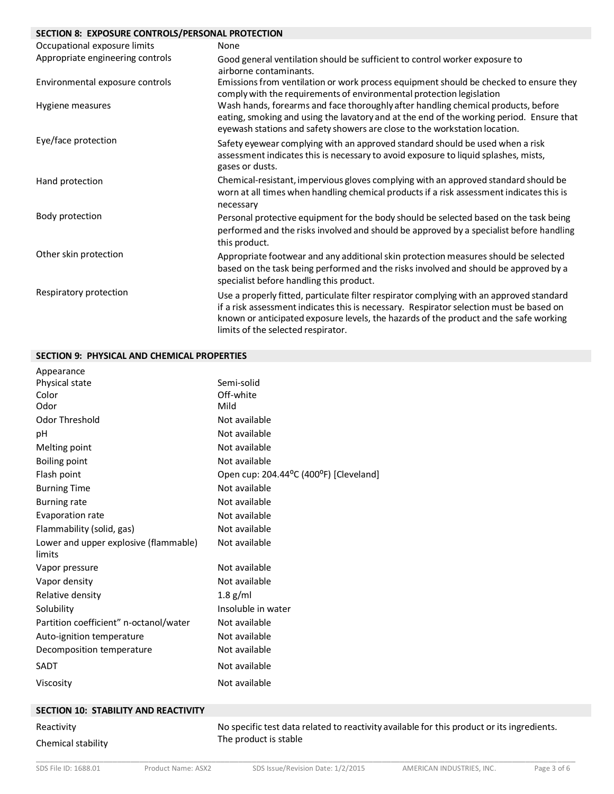## **SECTION 8: EXPOSURE CONTROLS/PERSONAL PROTECTION**

| Occupational exposure limits     | None                                                                                                                                                                                                                                                                                                               |
|----------------------------------|--------------------------------------------------------------------------------------------------------------------------------------------------------------------------------------------------------------------------------------------------------------------------------------------------------------------|
| Appropriate engineering controls | Good general ventilation should be sufficient to control worker exposure to<br>airborne contaminants.                                                                                                                                                                                                              |
| Environmental exposure controls  | Emissions from ventilation or work process equipment should be checked to ensure they<br>comply with the requirements of environmental protection legislation                                                                                                                                                      |
| Hygiene measures                 | Wash hands, forearms and face thoroughly after handling chemical products, before<br>eating, smoking and using the lavatory and at the end of the working period. Ensure that<br>eyewash stations and safety showers are close to the workstation location.                                                        |
| Eye/face protection              | Safety eyewear complying with an approved standard should be used when a risk<br>assessment indicates this is necessary to avoid exposure to liquid splashes, mists,<br>gases or dusts.                                                                                                                            |
| Hand protection                  | Chemical-resistant, impervious gloves complying with an approved standard should be<br>worn at all times when handling chemical products if a risk assessment indicates this is<br>necessary                                                                                                                       |
| Body protection                  | Personal protective equipment for the body should be selected based on the task being<br>performed and the risks involved and should be approved by a specialist before handling<br>this product.                                                                                                                  |
| Other skin protection            | Appropriate footwear and any additional skin protection measures should be selected<br>based on the task being performed and the risks involved and should be approved by a<br>specialist before handling this product.                                                                                            |
| Respiratory protection           | Use a properly fitted, particulate filter respirator complying with an approved standard<br>if a risk assessment indicates this is necessary. Respirator selection must be based on<br>known or anticipated exposure levels, the hazards of the product and the safe working<br>limits of the selected respirator. |

#### **SECTION 9: PHYSICAL AND CHEMICAL PROPERTIES**

| Appearance                                      |                                        |
|-------------------------------------------------|----------------------------------------|
| Physical state                                  | Semi-solid                             |
| Color                                           | Off-white                              |
| Odor                                            | Mild                                   |
| Odor Threshold                                  | Not available                          |
| рH                                              | Not available                          |
| Melting point                                   | Not available                          |
| <b>Boiling point</b>                            | Not available                          |
| Flash point                                     | Open cup: 204.44°C (400°F) [Cleveland] |
| <b>Burning Time</b>                             | Not available                          |
| <b>Burning rate</b>                             | Not available                          |
| Evaporation rate                                | Not available                          |
| Flammability (solid, gas)                       | Not available                          |
| Lower and upper explosive (flammable)<br>limits | Not available                          |
| Vapor pressure                                  | Not available                          |
| Vapor density                                   | Not available                          |
| Relative density                                | $1.8$ g/ml                             |
| Solubility                                      | Insoluble in water                     |
| Partition coefficient" n-octanol/water          | Not available                          |
| Auto-ignition temperature                       | Not available                          |
| Decomposition temperature                       | Not available                          |
| SADT                                            | Not available                          |
| Viscosity                                       | Not available                          |

#### **SECTION 10: STABILITY AND REACTIVITY**

| Reactivity    |
|---------------|
| Chemical stah |

No specific test data related to reactivity available for this product or its ingredients. Chemical stability The product is stable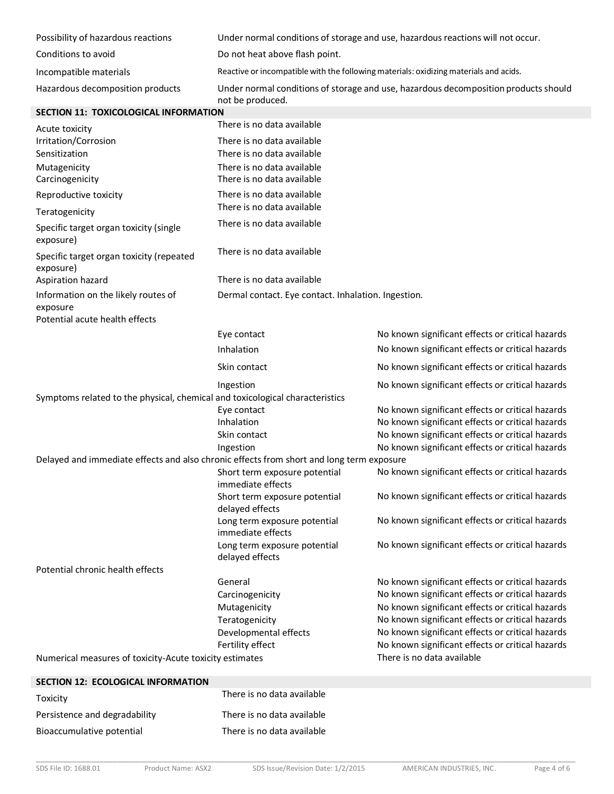| Possibility of hazardous reactions                                                       |                                                                                       | Under normal conditions of storage and use, hazardous reactions will not occur.                      |
|------------------------------------------------------------------------------------------|---------------------------------------------------------------------------------------|------------------------------------------------------------------------------------------------------|
| Conditions to avoid                                                                      | Do not heat above flash point.                                                        |                                                                                                      |
| Incompatible materials                                                                   | Reactive or incompatible with the following materials: oxidizing materials and acids. |                                                                                                      |
| Hazardous decomposition products                                                         | not be produced.                                                                      | Under normal conditions of storage and use, hazardous decomposition products should                  |
| SECTION 11: TOXICOLOGICAL INFORMATION                                                    |                                                                                       |                                                                                                      |
| Acute toxicity                                                                           | There is no data available                                                            |                                                                                                      |
| Irritation/Corrosion                                                                     | There is no data available                                                            |                                                                                                      |
| Sensitization                                                                            | There is no data available                                                            |                                                                                                      |
| Mutagenicity<br>Carcinogenicity                                                          | There is no data available<br>There is no data available                              |                                                                                                      |
| Reproductive toxicity                                                                    | There is no data available                                                            |                                                                                                      |
| Teratogenicity                                                                           | There is no data available                                                            |                                                                                                      |
| Specific target organ toxicity (single<br>exposure)                                      | There is no data available                                                            |                                                                                                      |
| Specific target organ toxicity (repeated<br>exposure)                                    | There is no data available                                                            |                                                                                                      |
| Aspiration hazard                                                                        | There is no data available                                                            |                                                                                                      |
| Information on the likely routes of<br>exposure                                          | Dermal contact. Eye contact. Inhalation. Ingestion.                                   |                                                                                                      |
| Potential acute health effects                                                           |                                                                                       |                                                                                                      |
|                                                                                          | Eye contact                                                                           | No known significant effects or critical hazards                                                     |
|                                                                                          | Inhalation                                                                            | No known significant effects or critical hazards                                                     |
|                                                                                          | Skin contact                                                                          | No known significant effects or critical hazards                                                     |
| Symptoms related to the physical, chemical and toxicological characteristics             | Ingestion                                                                             | No known significant effects or critical hazards                                                     |
|                                                                                          | Eye contact                                                                           | No known significant effects or critical hazards                                                     |
|                                                                                          | Inhalation                                                                            | No known significant effects or critical hazards                                                     |
|                                                                                          | Skin contact                                                                          | No known significant effects or critical hazards                                                     |
|                                                                                          | Ingestion                                                                             | No known significant effects or critical hazards                                                     |
| Delayed and immediate effects and also chronic effects from short and long term exposure |                                                                                       |                                                                                                      |
|                                                                                          | Short term exposure potential<br>immediate effects                                    | No known significant effects or critical hazards                                                     |
|                                                                                          | Short term exposure potential<br>delayed effects                                      | No known significant effects or critical hazards                                                     |
|                                                                                          | Long term exposure potential<br>immediate effects                                     | No known significant effects or critical hazards                                                     |
|                                                                                          | Long term exposure potential<br>delayed effects                                       | No known significant effects or critical hazards                                                     |
| Potential chronic health effects                                                         |                                                                                       |                                                                                                      |
|                                                                                          | General                                                                               | No known significant effects or critical hazards                                                     |
|                                                                                          | Carcinogenicity                                                                       | No known significant effects or critical hazards                                                     |
|                                                                                          | Mutagenicity                                                                          | No known significant effects or critical hazards                                                     |
|                                                                                          | Teratogenicity                                                                        | No known significant effects or critical hazards                                                     |
|                                                                                          | Developmental effects<br>Fertility effect                                             | No known significant effects or critical hazards<br>No known significant effects or critical hazards |
| Numerical measures of toxicity-Acute toxicity estimates                                  |                                                                                       | There is no data available                                                                           |
|                                                                                          |                                                                                       |                                                                                                      |

| <b>SECTION 12: ECOLOGICAL INFORMATION</b> |                            |
|-------------------------------------------|----------------------------|
| Toxicity                                  | There is no data available |
| Persistence and degradability             | There is no data available |
| Bioaccumulative potential                 | There is no data available |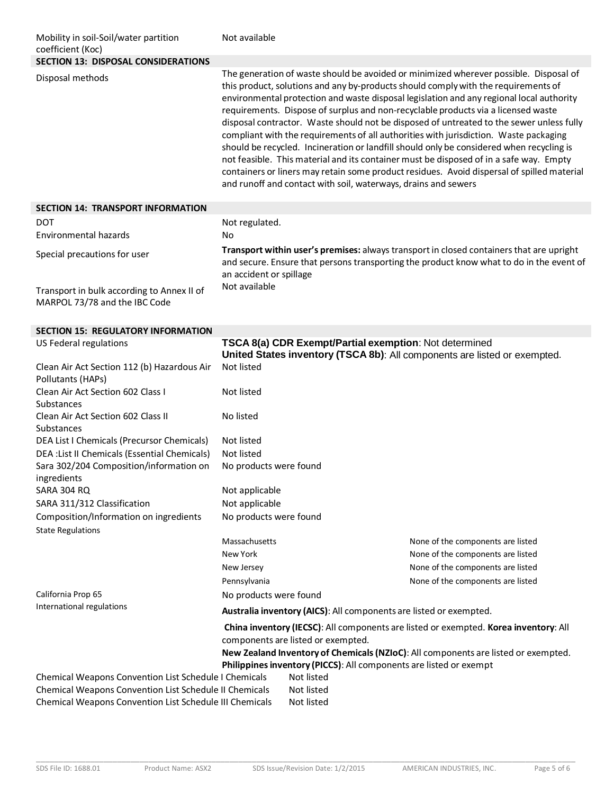**SECTION 13: DISPOSAL CONSIDERATIONS** Disposal methods The generation of waste should be avoided or minimized wherever possible. Disposal of this product, solutions and any by-products should comply with the requirements of environmental protection and waste disposal legislation and any regional local authority requirements. Dispose of surplus and non-recyclable products via a licensed waste disposal contractor. Waste should not be disposed of untreated to the sewer unless fully compliant with the requirements of all authorities with jurisdiction. Waste packaging should be recycled. Incineration or landfill should only be considered when recycling is not feasible. This material and its container must be disposed of in a safe way. Empty containers or liners may retain some product residues. Avoid dispersal of spilled material and runoff and contact with soil, waterways, drains and sewers

| <b>SECTION 14: TRANSPORT INFORMATION</b>   |                                                                                                                                                                                                                        |
|--------------------------------------------|------------------------------------------------------------------------------------------------------------------------------------------------------------------------------------------------------------------------|
| DOT                                        | Not regulated.                                                                                                                                                                                                         |
| Environmental hazards                      | No.                                                                                                                                                                                                                    |
| Special precautions for user               | <b>Transport within user's premises:</b> always transport in closed containers that are upright<br>and secure. Ensure that persons transporting the product know what to do in the event of<br>an accident or spillage |
| Transport in bulk according to Annex II of | Not available                                                                                                                                                                                                          |
| MARPOL 73/78 and the IBC Code              |                                                                                                                                                                                                                        |

| <b>SECTION 15: REGULATORY INFORMATION</b>                            |                                                                                                                                                                                                                                                                                        |                                   |  |
|----------------------------------------------------------------------|----------------------------------------------------------------------------------------------------------------------------------------------------------------------------------------------------------------------------------------------------------------------------------------|-----------------------------------|--|
| US Federal regulations                                               | TSCA 8(a) CDR Exempt/Partial exemption: Not determined<br>United States inventory (TSCA 8b): All components are listed or exempted.                                                                                                                                                    |                                   |  |
| Clean Air Act Section 112 (b) Hazardous Air                          | Not listed                                                                                                                                                                                                                                                                             |                                   |  |
| Pollutants (HAPs)                                                    |                                                                                                                                                                                                                                                                                        |                                   |  |
| Clean Air Act Section 602 Class I                                    | Not listed                                                                                                                                                                                                                                                                             |                                   |  |
| Substances                                                           |                                                                                                                                                                                                                                                                                        |                                   |  |
| Clean Air Act Section 602 Class II                                   | No listed                                                                                                                                                                                                                                                                              |                                   |  |
| <b>Substances</b>                                                    |                                                                                                                                                                                                                                                                                        |                                   |  |
| DEA List I Chemicals (Precursor Chemicals)                           | Not listed                                                                                                                                                                                                                                                                             |                                   |  |
| DEA : List II Chemicals (Essential Chemicals)                        | Not listed                                                                                                                                                                                                                                                                             |                                   |  |
| Sara 302/204 Composition/information on                              | No products were found                                                                                                                                                                                                                                                                 |                                   |  |
| ingredients                                                          |                                                                                                                                                                                                                                                                                        |                                   |  |
| <b>SARA 304 RQ</b>                                                   | Not applicable                                                                                                                                                                                                                                                                         |                                   |  |
| SARA 311/312 Classification                                          | Not applicable                                                                                                                                                                                                                                                                         |                                   |  |
| Composition/Information on ingredients                               | No products were found                                                                                                                                                                                                                                                                 |                                   |  |
| <b>State Regulations</b>                                             |                                                                                                                                                                                                                                                                                        |                                   |  |
|                                                                      | Massachusetts                                                                                                                                                                                                                                                                          | None of the components are listed |  |
|                                                                      | New York                                                                                                                                                                                                                                                                               | None of the components are listed |  |
|                                                                      | New Jersey                                                                                                                                                                                                                                                                             | None of the components are listed |  |
|                                                                      | Pennsylvania                                                                                                                                                                                                                                                                           | None of the components are listed |  |
| California Prop 65                                                   | No products were found                                                                                                                                                                                                                                                                 |                                   |  |
| International regulations                                            | Australia inventory (AICS): All components are listed or exempted.                                                                                                                                                                                                                     |                                   |  |
|                                                                      | China inventory (IECSC): All components are listed or exempted. Korea inventory: All<br>components are listed or exempted.<br>New Zealand Inventory of Chemicals (NZIoC): All components are listed or exempted.<br>Philippines inventory (PICCS): All components are listed or exempt |                                   |  |
| Chemical Weapons Convention List Schedule I Chemicals<br>Not listed  |                                                                                                                                                                                                                                                                                        |                                   |  |
| Chemical Weapons Convention List Schedule II Chemicals<br>Not listed |                                                                                                                                                                                                                                                                                        |                                   |  |
| Chemical Weapons Convention List Schedule III Chemicals              | Not listed                                                                                                                                                                                                                                                                             |                                   |  |
|                                                                      |                                                                                                                                                                                                                                                                                        |                                   |  |